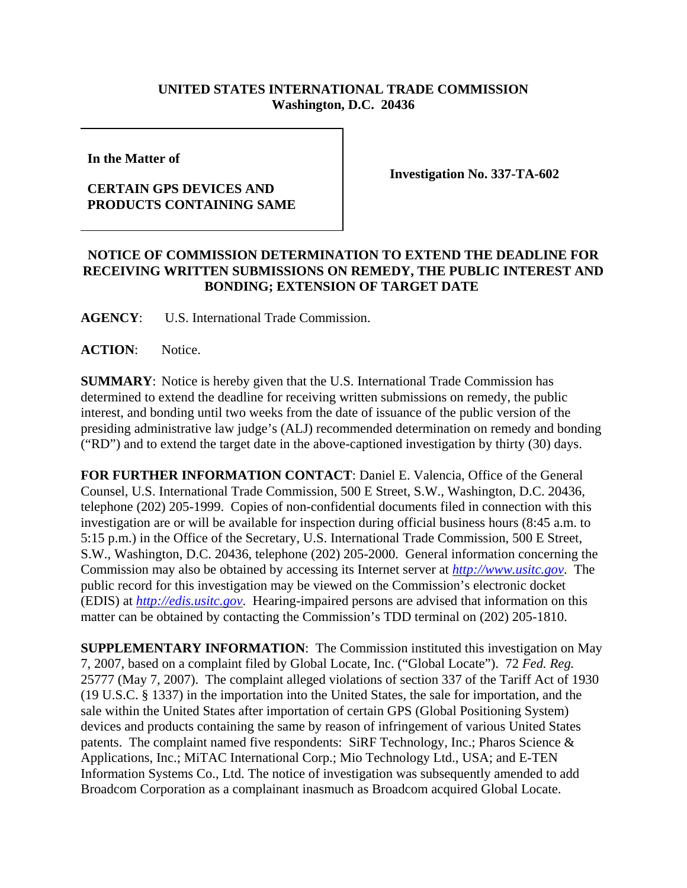## **UNITED STATES INTERNATIONAL TRADE COMMISSION Washington, D.C. 20436**

**In the Matter of** 

## **CERTAIN GPS DEVICES AND PRODUCTS CONTAINING SAME**

**Investigation No. 337-TA-602**

## **NOTICE OF COMMISSION DETERMINATION TO EXTEND THE DEADLINE FOR RECEIVING WRITTEN SUBMISSIONS ON REMEDY, THE PUBLIC INTEREST AND BONDING; EXTENSION OF TARGET DATE**

**AGENCY**: U.S. International Trade Commission.

**ACTION**: Notice.

**SUMMARY**: Notice is hereby given that the U.S. International Trade Commission has determined to extend the deadline for receiving written submissions on remedy, the public interest, and bonding until two weeks from the date of issuance of the public version of the presiding administrative law judge's (ALJ) recommended determination on remedy and bonding ("RD") and to extend the target date in the above-captioned investigation by thirty (30) days.

**FOR FURTHER INFORMATION CONTACT**: Daniel E. Valencia, Office of the General Counsel, U.S. International Trade Commission, 500 E Street, S.W., Washington, D.C. 20436, telephone (202) 205-1999. Copies of non-confidential documents filed in connection with this investigation are or will be available for inspection during official business hours (8:45 a.m. to 5:15 p.m.) in the Office of the Secretary, U.S. International Trade Commission, 500 E Street, S.W., Washington, D.C. 20436, telephone (202) 205-2000. General information concerning the Commission may also be obtained by accessing its Internet server at *http://www.usitc.gov*. The public record for this investigation may be viewed on the Commission's electronic docket (EDIS) at *http://edis.usitc.gov*. Hearing-impaired persons are advised that information on this matter can be obtained by contacting the Commission's TDD terminal on (202) 205-1810.

**SUPPLEMENTARY INFORMATION**: The Commission instituted this investigation on May 7, 2007, based on a complaint filed by Global Locate, Inc. ("Global Locate"). 72 *Fed. Reg.* 25777 (May 7, 2007). The complaint alleged violations of section 337 of the Tariff Act of 1930 (19 U.S.C. § 1337) in the importation into the United States, the sale for importation, and the sale within the United States after importation of certain GPS (Global Positioning System) devices and products containing the same by reason of infringement of various United States patents. The complaint named five respondents: SiRF Technology, Inc.; Pharos Science & Applications, Inc.; MiTAC International Corp.; Mio Technology Ltd., USA; and E-TEN Information Systems Co., Ltd. The notice of investigation was subsequently amended to add Broadcom Corporation as a complainant inasmuch as Broadcom acquired Global Locate.